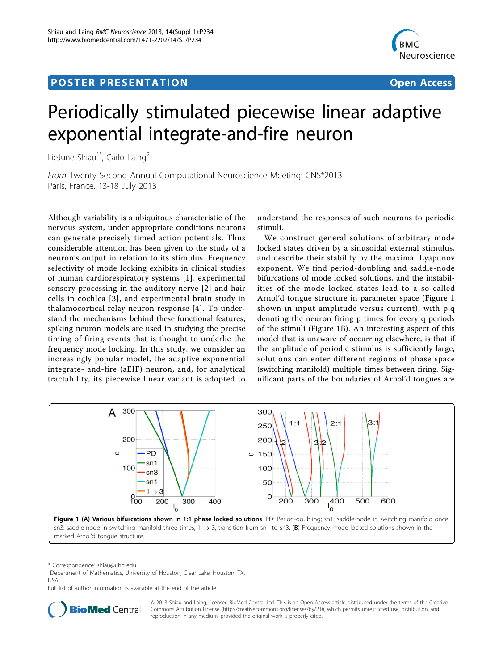## <span id="page-0-0"></span>Post Experimental Police in the St English Police in the St English Police in the St English Police in the St<br>Police in the St English Police in the St English Police in the St English Police in the St English Police in



# Periodically stimulated piecewise linear adaptive exponential integrate-and-fire neuron

LieJune Shiau<sup>1\*</sup>, Carlo Laing<sup>2</sup>

From Twenty Second Annual Computational Neuroscience Meeting: CNS\*2013 Paris, France. 13-18 July 2013

Although variability is a ubiquitous characteristic of the nervous system, under appropriate conditions neurons can generate precisely timed action potentials. Thus considerable attention has been given to the study of a neuron's output in relation to its stimulus. Frequency selectivity of mode locking exhibits in clinical studies of human cardiorespiratory systems [[1](#page-1-0)], experimental sensory processing in the auditory nerve [[2](#page-1-0)] and hair cells in cochlea [\[3\]](#page-1-0), and experimental brain study in thalamocortical relay neuron response [\[4\]](#page-1-0). To understand the mechanisms behind these functional features, spiking neuron models are used in studying the precise timing of firing events that is thought to underlie the frequency mode locking. In this study, we consider an increasingly popular model, the adaptive exponential integrate- and-fire (aEIF) neuron, and, for analytical tractability, its piecewise linear variant is adopted to

understand the responses of such neurons to periodic stimuli.

We construct general solutions of arbitrary mode locked states driven by a sinusoidal external stimulus, and describe their stability by the maximal Lyapunov exponent. We find period-doubling and saddle-node bifurcations of mode locked solutions, and the instabilities of the mode locked states lead to a so-called Arnol'd tongue structure in parameter space (Figure 1 shown in input amplitude versus current), with p:q denoting the neuron firing p times for every q periods of the stimuli (Figure 1B). An interesting aspect of this model that is unaware of occurring elsewhere, is that if the amplitude of periodic stimulus is sufficiently large, solutions can enter different regions of phase space (switching manifold) multiple times between firing. Significant parts of the boundaries of Arnol'd tongues are



\* Correspondence: [shiau@uhcl.edu](mailto:shiau@uhcl.edu)

<sup>1</sup>Department of Mathematics, University of Houston, Clear Lake, Houston, TX, USA

Full list of author information is available at the end of the article



© 2013 Shiau and Laing; licensee BioMed Central Ltd. This is an Open Access article distributed under the terms of the Creative Commons Attribution License [\(http://creativecommons.org/licenses/by/2.0](http://creativecommons.org/licenses/by/2.0)), which permits unrestricted use, distribution, and reproduction in any medium, provided the original work is properly cited.